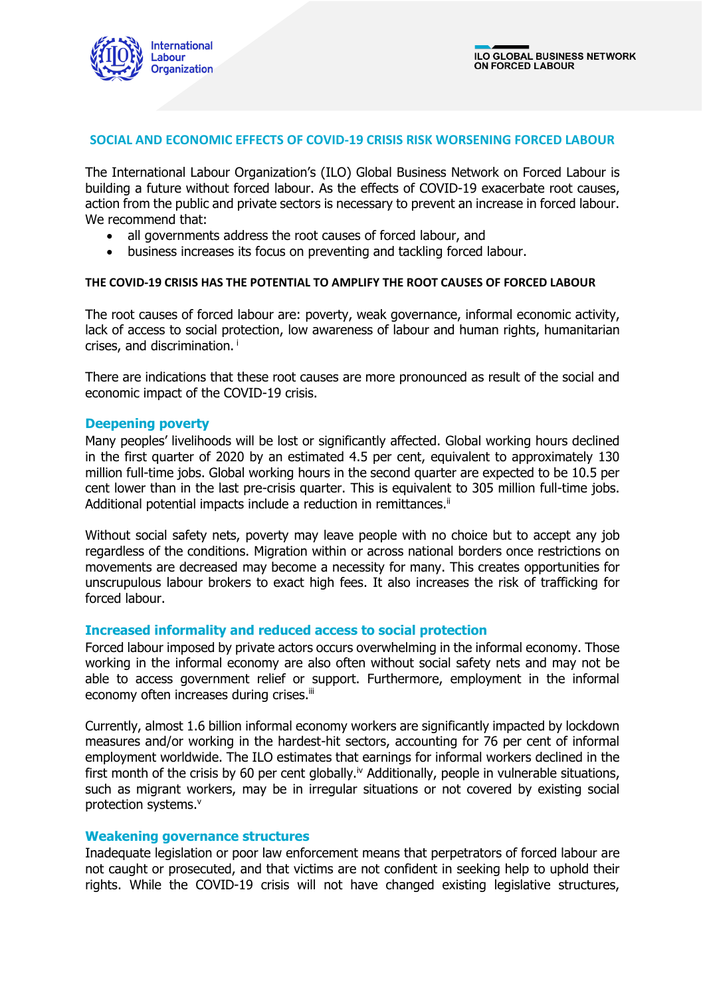

## **SOCIAL AND ECONOMIC EFFECTS OF COVID-19 CRISIS RISK WORSENING FORCED LABOUR**

The International Labour Organization's (ILO) Global Business Network on Forced Labour is building a future without forced labour. As the effects of COVID-19 exacerbate root causes, action from the public and private sectors is necessary to prevent an increase in forced labour. We recommend that:

- all governments address the root causes of forced labour, and
- business increases its focus on preventing and tackling forced labour.

### **THE COVID-19 CRISIS HAS THE POTENTIAL TO AMPLIFY THE ROOT CAUSES OF FORCED LABOUR**

The root causes of forced labour are: poverty, weak governance, informal economic activity, lack of access to social protection, low awareness of labour and human rights, humanitarian crises, and discrimination. i

There are indications that these root causes are more pronounced as result of the social and economic impact of the COVID-19 crisis.

### **Deepening poverty**

Many peoples' livelihoods will be lost or significantly affected. Global working hours declined in the first quarter of 2020 by an estimated 4.5 per cent, equivalent to approximately 130 million full-time jobs. Global working hours in the second quarter are expected to be 10.5 per cent lower than in the last pre-crisis quarter. This is equivalent to 305 million full-time jobs. Additional potential impacts include a reduction in remittances.<sup>ii</sup>

Without social safety nets, poverty may leave people with no choice but to accept any job regardless of the conditions. Migration within or across national borders once restrictions on movements are decreased may become a necessity for many. This creates opportunities for unscrupulous labour brokers to exact high fees. It also increases the risk of trafficking for forced labour.

## **Increased informality and reduced access to social protection**

Forced labour imposed by private actors occurs overwhelming in the informal economy. Those working in the informal economy are also often without social safety nets and may not be able to access government relief or support. Furthermore, employment in the informal economy often increases during crises.<sup>iii</sup>

Currently, almost 1.6 billion informal economy workers are significantly impacted by lockdown measures and/or working in the hardest-hit sectors, accounting for 76 per cent of informal employment worldwide. The ILO estimates that earnings for informal workers declined in the first month of the crisis by 60 per cent globally.<sup>iv</sup> Additionally, people in vulnerable situations, such as migrant workers, may be in irregular situations or not covered by existing social protection systems.<sup>v</sup>

### **Weakening governance structures**

Inadequate legislation or poor law enforcement means that perpetrators of forced labour are not caught or prosecuted, and that victims are not confident in seeking help to uphold their rights. While the COVID-19 crisis will not have changed existing legislative structures,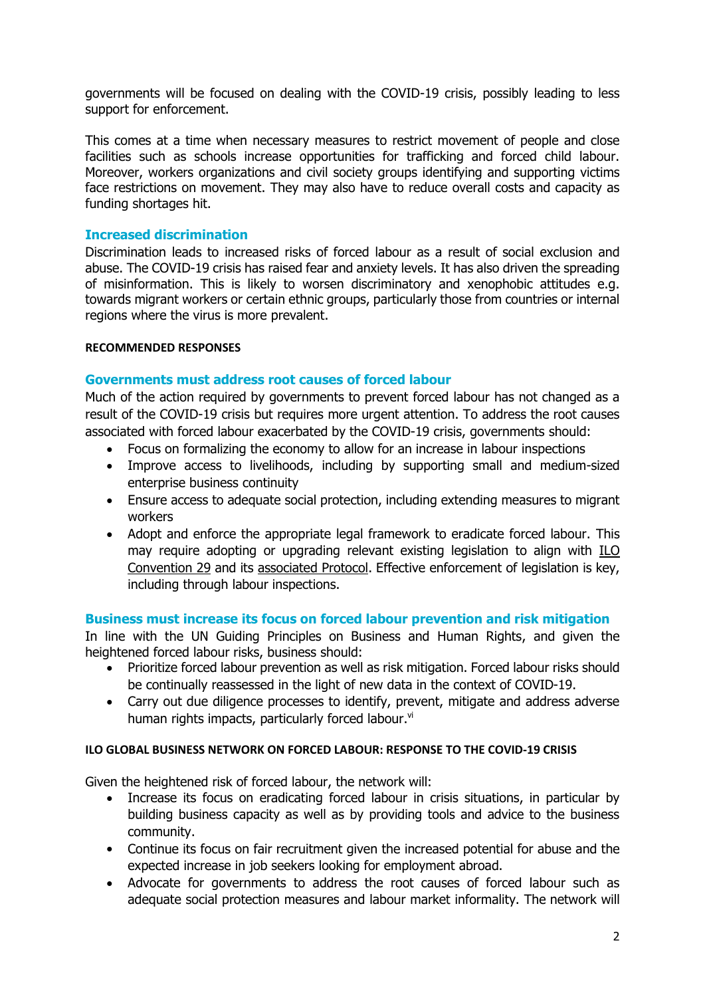governments will be focused on dealing with the COVID-19 crisis, possibly leading to less support for enforcement.

This comes at a time when necessary measures to restrict movement of people and close facilities such as schools increase opportunities for trafficking and forced child labour. Moreover, workers organizations and civil society groups identifying and supporting victims face restrictions on movement. They may also have to reduce overall costs and capacity as funding shortages hit.

# **Increased discrimination**

Discrimination leads to increased risks of forced labour as a result of social exclusion and abuse. The COVID-19 crisis has raised fear and anxiety levels. It has also driven the spreading of misinformation. This is likely to worsen discriminatory and xenophobic attitudes e.g. towards migrant workers or certain ethnic groups, particularly those from countries or internal regions where the virus is more prevalent.

## **RECOMMENDED RESPONSES**

## **Governments must address root causes of forced labour**

Much of the action required by governments to prevent forced labour has not changed as a result of the COVID-19 crisis but requires more urgent attention. To address the root causes associated with forced labour exacerbated by the COVID-19 crisis, governments should:

- Focus on formalizing the economy to allow for an increase in labour inspections
- Improve access to livelihoods, including by supporting small and medium-sized enterprise business continuity
- Ensure access to adequate social protection, including extending measures to migrant workers
- Adopt and enforce the appropriate legal framework to eradicate forced labour. This may require adopting or upgrading relevant existing legislation to align with [ILO](https://www.ilo.org/dyn/normlex/en/f?p=NORMLEXPUB:12100:0::NO::P12100_ILO_CODE:C029)  [Convention 29](https://www.ilo.org/dyn/normlex/en/f?p=NORMLEXPUB:12100:0::NO::P12100_ILO_CODE:C029) and its [associated Protocol.](https://www.ilo.org/dyn/normlex/en/f?p=NORMLEXPUB:12100:0::NO::P12100_ILO_CODE:P029) Effective enforcement of legislation is key, including through labour inspections.

## **Business must increase its focus on forced labour prevention and risk mitigation**

In line with the UN Guiding Principles on Business and Human Rights, and given the heightened forced labour risks, business should:

- Prioritize forced labour prevention as well as risk mitigation. Forced labour risks should be continually reassessed in the light of new data in the context of COVID-19.
- Carry out due diligence processes to identify, prevent, mitigate and address adverse human rights impacts, particularly forced labour.<sup>vi</sup>

## **ILO GLOBAL BUSINESS NETWORK ON FORCED LABOUR: RESPONSE TO THE COVID-19 CRISIS**

Given the heightened risk of forced labour, the network will:

- Increase its focus on eradicating forced labour in crisis situations, in particular by building business capacity as well as by providing tools and advice to the business community.
- Continue its focus on fair recruitment given the increased potential for abuse and the expected increase in job seekers looking for employment abroad.
- Advocate for governments to address the root causes of forced labour such as adequate social protection measures and labour market informality. The network will